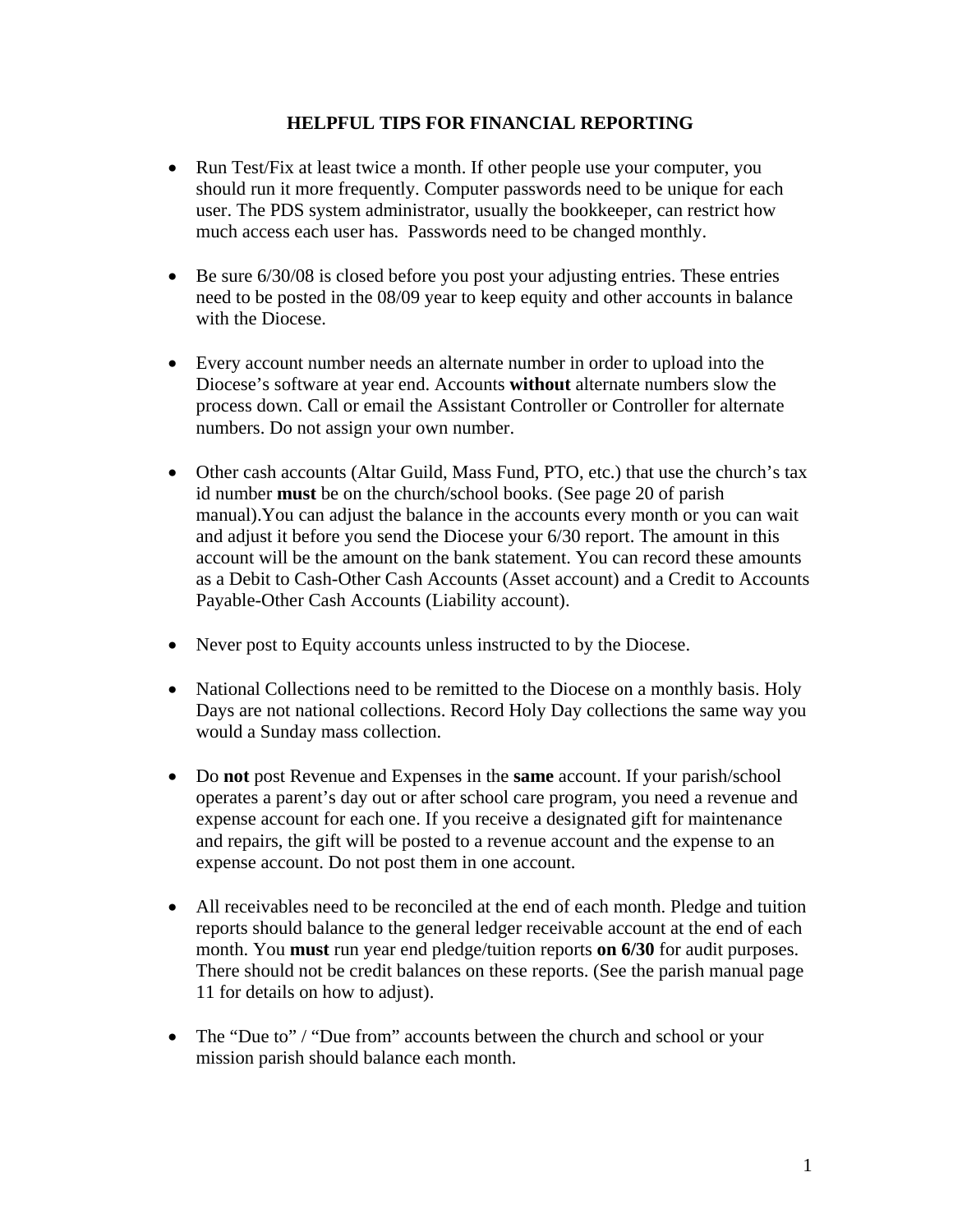## **HELPFUL TIPS FOR FINANCIAL REPORTING**

- Run Test/Fix at least twice a month. If other people use your computer, you should run it more frequently. Computer passwords need to be unique for each user. The PDS system administrator, usually the bookkeeper, can restrict how much access each user has. Passwords need to be changed monthly.
- Be sure  $6/30/08$  is closed before you post your adjusting entries. These entries need to be posted in the 08/09 year to keep equity and other accounts in balance with the Diocese.
- Every account number needs an alternate number in order to upload into the Diocese's software at year end. Accounts **without** alternate numbers slow the process down. Call or email the Assistant Controller or Controller for alternate numbers. Do not assign your own number.
- Other cash accounts (Altar Guild, Mass Fund, PTO, etc.) that use the church's tax id number **must** be on the church/school books. (See page 20 of parish manual).You can adjust the balance in the accounts every month or you can wait and adjust it before you send the Diocese your 6/30 report. The amount in this account will be the amount on the bank statement. You can record these amounts as a Debit to Cash-Other Cash Accounts (Asset account) and a Credit to Accounts Payable-Other Cash Accounts (Liability account).
- Never post to Equity accounts unless instructed to by the Diocese.
- National Collections need to be remitted to the Diocese on a monthly basis. Holy Days are not national collections. Record Holy Day collections the same way you would a Sunday mass collection.
- Do **not** post Revenue and Expenses in the **same** account. If your parish/school operates a parent's day out or after school care program, you need a revenue and expense account for each one. If you receive a designated gift for maintenance and repairs, the gift will be posted to a revenue account and the expense to an expense account. Do not post them in one account.
- All receivables need to be reconciled at the end of each month. Pledge and tuition reports should balance to the general ledger receivable account at the end of each month. You **must** run year end pledge/tuition reports **on 6/30** for audit purposes. There should not be credit balances on these reports. (See the parish manual page 11 for details on how to adjust).
- The "Due to" / "Due from" accounts between the church and school or your mission parish should balance each month.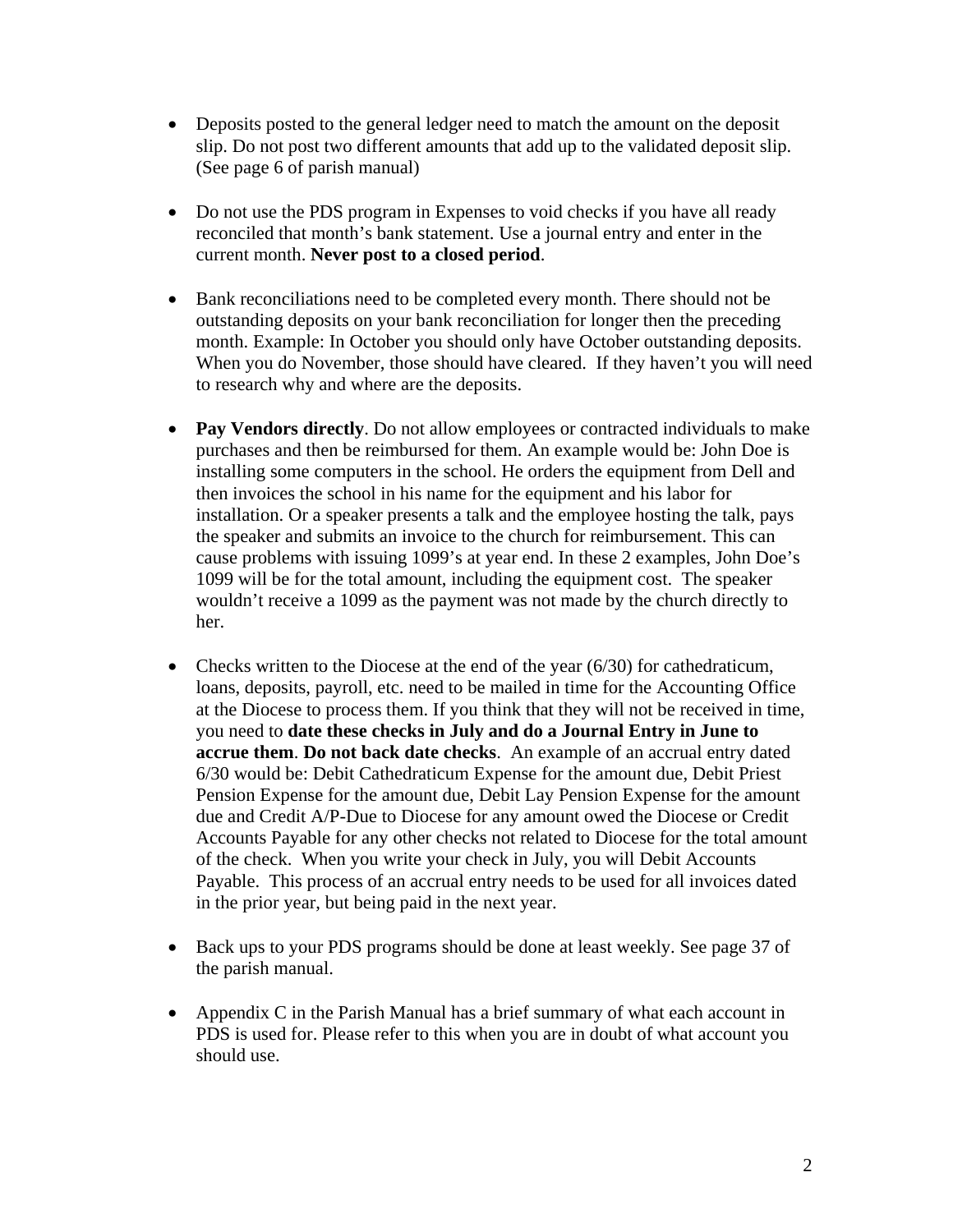- Deposits posted to the general ledger need to match the amount on the deposit slip. Do not post two different amounts that add up to the validated deposit slip. (See page 6 of parish manual)
- Do not use the PDS program in Expenses to void checks if you have all ready reconciled that month's bank statement. Use a journal entry and enter in the current month. **Never post to a closed period**.
- Bank reconciliations need to be completed every month. There should not be outstanding deposits on your bank reconciliation for longer then the preceding month. Example: In October you should only have October outstanding deposits. When you do November, those should have cleared. If they haven't you will need to research why and where are the deposits.
- **Pay Vendors directly**. Do not allow employees or contracted individuals to make purchases and then be reimbursed for them. An example would be: John Doe is installing some computers in the school. He orders the equipment from Dell and then invoices the school in his name for the equipment and his labor for installation. Or a speaker presents a talk and the employee hosting the talk, pays the speaker and submits an invoice to the church for reimbursement. This can cause problems with issuing 1099's at year end. In these 2 examples, John Doe's 1099 will be for the total amount, including the equipment cost. The speaker wouldn't receive a 1099 as the payment was not made by the church directly to her.
- Checks written to the Diocese at the end of the year (6/30) for cathedraticum, loans, deposits, payroll, etc. need to be mailed in time for the Accounting Office at the Diocese to process them. If you think that they will not be received in time, you need to **date these checks in July and do a Journal Entry in June to accrue them**. **Do not back date checks**. An example of an accrual entry dated 6/30 would be: Debit Cathedraticum Expense for the amount due, Debit Priest Pension Expense for the amount due, Debit Lay Pension Expense for the amount due and Credit A/P-Due to Diocese for any amount owed the Diocese or Credit Accounts Payable for any other checks not related to Diocese for the total amount of the check. When you write your check in July, you will Debit Accounts Payable. This process of an accrual entry needs to be used for all invoices dated in the prior year, but being paid in the next year.
- Back ups to your PDS programs should be done at least weekly. See page 37 of the parish manual.
- Appendix C in the Parish Manual has a brief summary of what each account in PDS is used for. Please refer to this when you are in doubt of what account you should use.